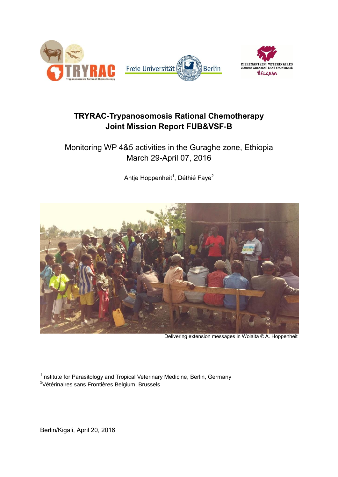

# **TRYRAC-Trypanosomosis Rational Chemotherapy Joint Mission Report FUB&VSF-B**

# Monitoring WP 4&5 activities in the Guraghe zone, Ethiopia March 29-April 07, 2016

Antje Hoppenheit<sup>1</sup>, Déthié Faye<sup>2</sup>



Delivering extension messages in Wolaita © A. Hoppenheit

<sup>1</sup>Institute for Parasitology and Tropical Veterinary Medicine, Berlin, Germany <sup>2</sup>Vétérinaires sans Frontières Belgium, Brussels

Berlin/Kigali, April 20, 2016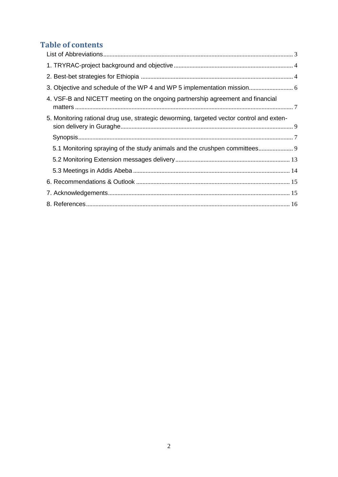# **Table of contents**

| 4. VSF-B and NICETT meeting on the ongoing partnership agreement and financial           |  |
|------------------------------------------------------------------------------------------|--|
| 5. Monitoring rational drug use, strategic deworming, targeted vector control and exten- |  |
|                                                                                          |  |
| 5.1 Monitoring spraying of the study animals and the crushpen committees                 |  |
|                                                                                          |  |
|                                                                                          |  |
|                                                                                          |  |
|                                                                                          |  |
|                                                                                          |  |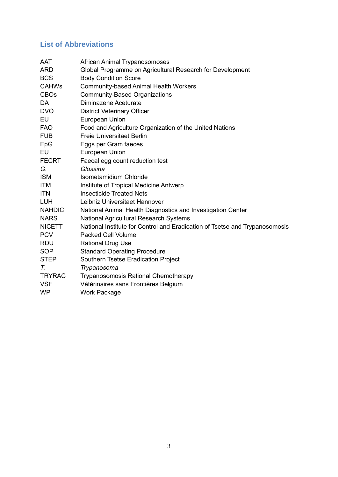# <span id="page-2-0"></span>**List of Abbreviations**

| AAT           | African Animal Trypanosomoses                                               |
|---------------|-----------------------------------------------------------------------------|
| <b>ARD</b>    | Global Programme on Agricultural Research for Development                   |
| <b>BCS</b>    | <b>Body Condition Score</b>                                                 |
| <b>CAHWs</b>  | <b>Community-based Animal Health Workers</b>                                |
| <b>CBOs</b>   | <b>Community-Based Organizations</b>                                        |
| DA            | Diminazene Aceturate                                                        |
| <b>DVO</b>    | <b>District Veterinary Officer</b>                                          |
| EU            | European Union                                                              |
| <b>FAO</b>    | Food and Agriculture Organization of the United Nations                     |
| <b>FUB</b>    | <b>Freie Universitaet Berlin</b>                                            |
| EpG           | Eggs per Gram faeces                                                        |
| EU            | European Union                                                              |
| <b>FECRT</b>  | Faecal egg count reduction test                                             |
| G.            | Glossina                                                                    |
| <b>ISM</b>    | Isometamidium Chloride                                                      |
| <b>ITM</b>    | Institute of Tropical Medicine Antwerp                                      |
| <b>ITN</b>    | <b>Insecticide Treated Nets</b>                                             |
| <b>LUH</b>    | Leibniz Universitaet Hannover                                               |
| <b>NAHDIC</b> | National Animal Health Diagnostics and Investigation Center                 |
| <b>NARS</b>   | <b>National Agricultural Research Systems</b>                               |
| <b>NICETT</b> | National Institute for Control and Eradication of Tsetse and Trypanosomosis |
| <b>PCV</b>    | <b>Packed Cell Volume</b>                                                   |
| <b>RDU</b>    | <b>Rational Drug Use</b>                                                    |
| <b>SOP</b>    | <b>Standard Operating Procedure</b>                                         |
| <b>STEP</b>   | Southern Tsetse Eradication Project                                         |
| T.            | Trypanosoma                                                                 |
| <b>TRYRAC</b> | <b>Trypanosomosis Rational Chemotherapy</b>                                 |
| <b>VSF</b>    | Vétérinaires sans Frontières Belgium                                        |
| <b>WP</b>     | <b>Work Package</b>                                                         |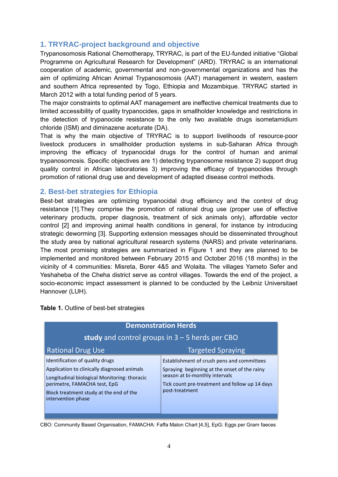### <span id="page-3-0"></span>**1. TRYRAC-project background and objective**

Trypanosomosis Rational Chemotherapy, TRYRAC, is part of the EU-funded initiative "Global Programme on Agricultural Research for Development" (ARD). TRYRAC is an international cooperation of academic, governmental and non-governmental organizations and has the aim of optimizing African Animal Trypanosomosis (AAT) management in western, eastern and southern Africa represented by Togo, Ethiopia and Mozambique. TRYRAC started in March 2012 with a total funding period of 5 years.

The major constraints to optimal AAT management are ineffective chemical treatments due to limited accessibility of quality trypanocides, gaps in smallholder knowledge and restrictions in the detection of trypanocide resistance to the only two available drugs isometamidium chloride (ISM) and diminazene aceturate (DA).

That is why the main objective of TRYRAC is to support livelihoods of resource-poor livestock producers in smallholder production systems in sub-Saharan Africa through improving the efficacy of trypanocidal drugs for the control of human and animal trypanosomosis. Specific objectives are 1) detecting trypanosome resistance 2) support drug quality control in African laboratories 3) improving the efficacy of trypanocides through promotion of rational drug use and development of adapted disease control methods.

### <span id="page-3-1"></span>**2. Best-bet strategies for Ethiopia**

Best-bet strategies are optimizing trypanocidal drug efficiency and the control of drug resistance [\[1\]](#page-15-1).They comprise the promotion of rational drug use (proper use of effective veterinary products, proper diagnosis, treatment of sick animals only), affordable vector control [2] and improving animal health conditions in general, for instance by introducing strategic deworming [3]. Supporting extension messages should be disseminated throughout the study area by national agricultural research systems (NARS) and private veterinarians. The most promising strategies are summarized in Figure 1 and they are planned to be implemented and monitored between February 2015 and October 2016 (18 months) in the vicinity of 4 communities: Misreta, Borer 4&5 and Wolaita. The villages Yameto Sefer and Yeshaheba of the Cheha district serve as control villages. Towards the end of the project, a socio-economic impact assessment is planned to be conducted by the Leibniz Universitaet Hannover (LUH).

| <b>Demonstration Herds</b><br>study and control groups in $3 - 5$ herds per CBO                                                                                                                                                 |                                                                                                                                                                                                  |  |  |  |  |  |  |  |  |  |
|---------------------------------------------------------------------------------------------------------------------------------------------------------------------------------------------------------------------------------|--------------------------------------------------------------------------------------------------------------------------------------------------------------------------------------------------|--|--|--|--|--|--|--|--|--|
| <b>Rational Drug Use</b>                                                                                                                                                                                                        | <b>Targeted Spraying</b>                                                                                                                                                                         |  |  |  |  |  |  |  |  |  |
| Identification of quality drugs<br>Application to clinically diagnosed animals<br>Longitudinal biological Monitoring: thoracic<br>perimetre, FAMACHA test, EpG<br>Block treatment study at the end of the<br>intervention phase | Establishment of crush pens and committees<br>Spraying beginning at the onset of the rainy<br>season at bi-monthly intervals<br>Tick count pre-treatment and follow up 14 days<br>post-treatment |  |  |  |  |  |  |  |  |  |

**Table 1.** Outline of best-bet strategies

CBO: Community Based Organisation, FAMACHA: Faffa Malon Chart [4,5], EpG: Eggs per Gram faeces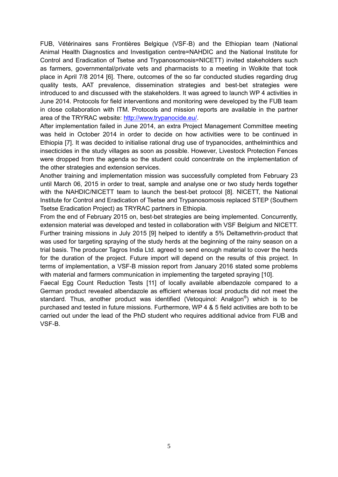FUB, Vétérinaires sans Frontières Belgique (VSF-B) and the Ethiopian team (National Animal Health Diagnostics and Investigation centre=NAHDIC and the National Institute for Control and Eradication of Tsetse and Trypanosomosis=NICETT) invited stakeholders such as farmers, governmental/private vets and pharmacists to a meeting in Wolkite that took place in April 7/8 2014 [6]. There, outcomes of the so far conducted studies regarding drug quality tests, AAT prevalence, dissemination strategies and best-bet strategies were introduced to and discussed with the stakeholders. It was agreed to launch WP 4 activities in June 2014. Protocols for field interventions and monitoring were developed by the FUB team in close collaboration with ITM. Protocols and mission reports are available in the partner area of the TRYRAC website: [http://www.trypanocide.eu/.](http://www.trypanocide.eu/)

After implementation failed in June 2014, an extra Project Management Committee meeting was held in October 2014 in order to decide on how activities were to be continued in Ethiopia [\[7\]](#page-15-2). It was decided to initialise rational drug use of trypanocides, anthelminthics and insecticides in the study villages as soon as possible. However, Livestock Protection Fences were dropped from the agenda so the student could concentrate on the implementation of the other strategies and extension services.

Another training and implementation mission was successfully completed from February 23 until March 06, 2015 in order to treat, sample and analyse one or two study herds together with the NAHDIC/NICETT team to launch the best-bet protocol [8]. NICETT, the National Institute for Control and Eradication of Tsetse and Trypanosomosis replaced STEP (Southern Tsetse Eradication Project) as TRYRAC partners in Ethiopia.

From the end of February 2015 on, best-bet strategies are being implemented. Concurrently, extension material was developed and tested in collaboration with VSF Belgium and NICETT. Further training missions in July 2015 [9] helped to identify a 5% Deltamethrin-product that was used for targeting spraying of the study herds at the beginning of the rainy season on a trial basis. The producer Tagros India Ltd. agreed to send enough material to cover the herds for the duration of the project. Future import will depend on the results of this project. In terms of implementation, a VSF-B mission report from January 2016 stated some problems with material and farmers communication in implementing the targeted spraying [10].

<span id="page-4-0"></span>Faecal Egg Count Reduction Tests [11] of locally available albendazole compared to a German product revealed albendazole as efficient whereas local products did not meet the standard. Thus, another product was identified (Vetoquinol: Analgon<sup>®</sup>) which is to be purchased and tested in future missions. Furthermore, WP 4 & 5 field activities are both to be carried out under the lead of the PhD student who requires additional advice from FUB and VSF-B.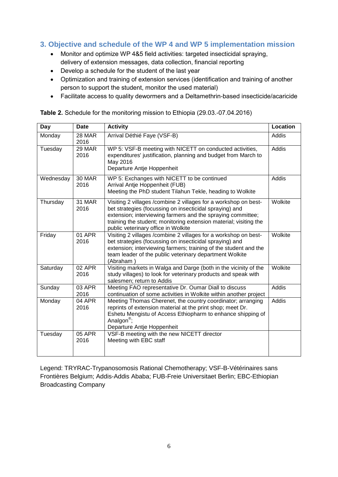## **3. Objective and schedule of the WP 4 and WP 5 implementation mission**

- Monitor and optimize WP 4&5 field activities: targeted insecticidal spraying, delivery of extension messages, data collection, financial reporting
- Develop a schedule for the student of the last year
- Optimization and training of extension services (identification and training of another person to support the student, monitor the used material)
- Facilitate access to quality dewormers and a Deltamethrin-based insecticide/acaricide

| <b>Day</b> | <b>Date</b>           | <b>Activity</b>                                                                                                                                                                                                                                                                                       | <b>Location</b> |
|------------|-----------------------|-------------------------------------------------------------------------------------------------------------------------------------------------------------------------------------------------------------------------------------------------------------------------------------------------------|-----------------|
| Monday     | 28 MAR<br>2016        | Arrival Déthié Faye (VSF-B)                                                                                                                                                                                                                                                                           | Addis           |
| Tuesday    | 29 MAR<br>2016        | WP 5: VSF-B meeting with NICETT on conducted activities,<br>expenditures' justification, planning and budget from March to<br>May 2016<br>Departure Antje Hoppenheit                                                                                                                                  | Addis           |
| Wednesday  | <b>30 MAR</b><br>2016 | WP 5: Exchanges with NICETT to be continued<br>Arrival Antje Hoppenheit (FUB)<br>Meeting the PhD student Tilahun Tekle, heading to Wolkite                                                                                                                                                            | Addis           |
| Thursday   | 31 MAR<br>2016        | Visiting 2 villages /combine 2 villages for a workshop on best-<br>bet strategies (focussing on insecticidal spraying) and<br>extension; interviewing farmers and the spraying committee;<br>training the student; monitoring extension material; visiting the<br>public veterinary office in Wolkite | Wolkite         |
| Friday     | 01 APR<br>2016        | Visiting 2 villages /combine 2 villages for a workshop on best-<br>bet strategies (focussing on insecticidal spraying) and<br>extension; interviewing farmers; training of the student and the<br>team leader of the public veterinary department Wolkite<br>(Abraham)                                | Wolkite         |
| Saturday   | 02 APR<br>2016        | Visiting markets in Walga and Darge (both in the vicinity of the<br>study villages) to look for veterinary products and speak with<br>salesmen; return to Addis                                                                                                                                       | Wolkite         |
| Sunday     | 03 APR<br>2016        | Meeting FAO representative Dr. Oumar Diall to discuss<br>continuation of some activities in Wolkite within another project                                                                                                                                                                            | Addis           |
| Monday     | 04 APR<br>2016        | Meeting Thomas Cherenet, the country coordinator; arranging<br>reprints of extension material at the print shop; meet Dr.<br>Eshetu Mengistu of Access Ethiopharm to enhance shipping of<br>Analgon <sup>®</sup> ;<br>Departure Antje Hoppenheit                                                      | Addis           |
| Tuesday    | 05 APR<br>2016        | VSF-B meeting with the new NICETT director<br>Meeting with EBC staff                                                                                                                                                                                                                                  |                 |

**Table 2.** Schedule for the monitoring mission to Ethiopia (29.03.-07.04.2016)

<span id="page-5-0"></span>Legend: TRYRAC-Trypanosomosis Rational Chemotherapy; VSF-B-Vétérinaires sans Frontières Belgium; Addis-Addis Ababa; FUB-Freie Universitaet Berlin; EBC-Ethiopian Broadcasting Company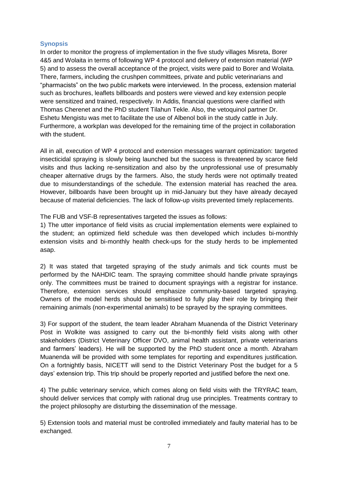### **Synopsis**

In order to monitor the progress of implementation in the five study villages Misreta, Borer 4&5 and Wolaita in terms of following WP 4 protocol and delivery of extension material (WP 5) and to assess the overall acceptance of the project, visits were paid to Borer and Wolaita. There, farmers, including the crushpen committees, private and public veterinarians and "pharmacists" on the two public markets were interviewed. In the process, extension material such as brochures, leaflets billboards and posters were viewed and key extension people were sensitized and trained, respectively. In Addis, financial questions were clarified with Thomas Cherenet and the PhD student Tilahun Tekle. Also, the vetoquinol partner Dr. Eshetu Mengistu was met to facilitate the use of Albenol boli in the study cattle in July. Furthermore, a workplan was developed for the remaining time of the project in collaboration with the student.

All in all, execution of WP 4 protocol and extension messages warrant optimization: targeted insecticidal spraying is slowly being launched but the success is threatened by scarce field visits and thus lacking re-sensitization and also by the unprofessional use of presumably cheaper alternative drugs by the farmers. Also, the study herds were not optimally treated due to misunderstandings of the schedule. The extension material has reached the area. However, billboards have been brought up in mid-January but they have already decayed because of material deficiencies. The lack of follow-up visits prevented timely replacements.

The FUB and VSF-B representatives targeted the issues as follows:

1) The utter importance of field visits as crucial implementation elements were explained to the student; an optimized field schedule was then developed which includes bi-monthly extension visits and bi-monthly health check-ups for the study herds to be implemented asap.

2) It was stated that targeted spraying of the study animals and tick counts must be performed by the NAHDIC team. The spraying committee should handle private sprayings only. The committees must be trained to document sprayings with a registrar for instance. Therefore, extension services should emphasize community-based targeted spraying. Owners of the model herds should be sensitised to fully play their role by bringing their remaining animals (non-experimental animals) to be sprayed by the spraying committees.

3) For support of the student, the team leader Abraham Muanenda of the District Veterinary Post in Wolkite was assigned to carry out the bi-monthly field visits along with other stakeholders (District Veterinary Officer DVO, animal health assistant, private veterinarians and farmers' leaders). He will be supported by the PhD student once a month. Abraham Muanenda will be provided with some templates for reporting and expenditures justification. On a fortnightly basis, NICETT will send to the District Veterinary Post the budget for a 5 days' extension trip. This trip should be properly reported and justified before the next one.

4) The public veterinary service, which comes along on field visits with the TRYRAC team, should deliver services that comply with rational drug use principles. Treatments contrary to the project philosophy are disturbing the dissemination of the message.

5) Extension tools and material must be controlled immediately and faulty material has to be exchanged.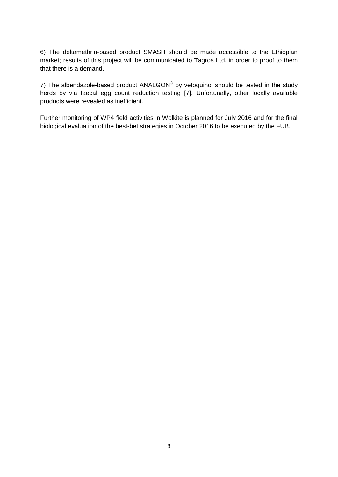6) The deltamethrin-based product SMASH should be made accessible to the Ethiopian market; results of this project will be communicated to Tagros Ltd. in order to proof to them that there is a demand.

7) The albendazole-based product ANALGON® by vetoquinol should be tested in the study herds by via faecal egg count reduction testing [7]. Unfortunally, other locally available products were revealed as inefficient.

Further monitoring of WP4 field activities in Wolkite is planned for July 2016 and for the final biological evaluation of the best-bet strategies in October 2016 to be executed by the FUB.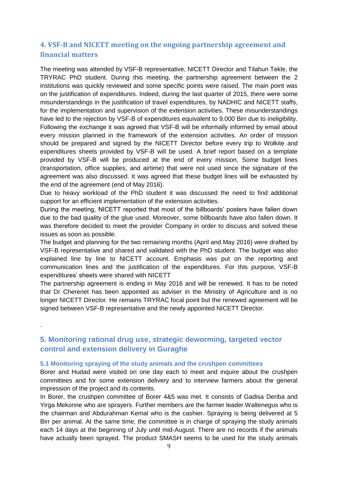# **4. VSF-B and NICETT meeting on the ongoing partnership agreement and financial matters**

The meeting was attended by VSF-B representative, NICETT Director and Tilahun Tekle, the TRYRAC PhD student. During this meeting, the partnership agreement between the 2 institutions was quickly reviewed and some specific points were raised. The main point was on the justification of expenditures. Indeed, during the last quarter of 2015, there were some misunderstandings in the justification of travel expenditures, by NADHIC and NICETT staffs, for the implementation and supervision of the extension activities. These misunderstandings have led to the rejection by VSF-B of expenditures equivalent to 9.000 Birr due to ineligibility. Following the exchange it was agreed that VSF-B will be informally informed by email about every mission planned in the framework of the extension activities. An order of mission should be prepared and signed by the NICETT Director before every trip to Wolkite and expenditures sheets provided by VSF-B will be used. A brief report based on a template provided by VSF-B will be produced at the end of every mission. Some budget lines (transportation, office supplies, and airtime) that were not used since the signature of the agreement was also discussed. It was agreed that these budget lines will be exhausted by the end of the agreement (end of May 2016).

Due to heavy workload of the PhD student it was discussed the need to find additional support for an efficient implementation of the extension activities.

During the meeting, NICETT reported that most of the billboards' posters have fallen down due to the bad quality of the glue used. Moreover, some billboards have also fallen down. It was therefore decided to meet the provider Company in order to discuss and solved these issues as soon as possible.

The budget and planning for the two remaining months (April and May 2016) were drafted by VSF-B representative and shared and validated with the PhD student. The budget was also explained line by line to NICETT account. Emphasis was put on the reporting and communication lines and the justification of the expenditures. For this purpose, VSF-B expenditures' sheets were shared with NICETT

The partnership agreement is ending in May 2016 and will be renewed. It has to be noted that Dr Cherenet has been appointed as adviser in the Ministry of Agriculture and is no longer NICETT Director. He remains TRYRAC focal point but the renewed agreement will be signed between VSF-B representative and the newly appointed NICETT Director.

# <span id="page-8-0"></span>**5. Monitoring rational drug use, strategic deworming, targeted vector control and extension delivery in Guraghe**

#### <span id="page-8-1"></span>**5.1 Monitoring spraying of the study animals and the crushpen committees**

.

Borer and Hudad were visited on one day each to meet and inquire about the crushpen committees and for some extension delivery and to interview farmers about the general impression of the project and its contents.

In Borer, the crushpen committee of Borer 4&5 was met. It consists of Gadisa Deriba and Yirga Mekonne who are sprayers. Further members are the farmer leader Waltenegus who is the chairman and Abdurahman Kemal who is the cashier. Spraying is being delivered at 5 Birr per animal. At the same time, the committee is in charge of spraying the study animals each 14 days at the beginning of July until mid-August. There are no records if the animals have actually been sprayed. The product SMASH seems to be used for the study animals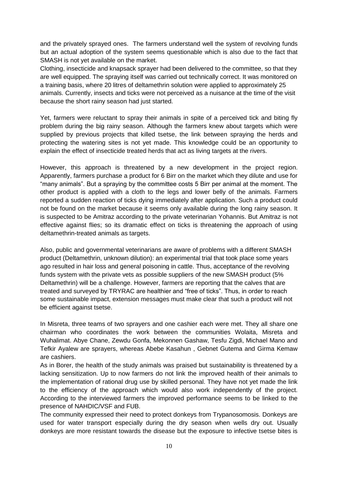and the privately sprayed ones. The farmers understand well the system of revolving funds but an actual adoption of the system seems questionable which is also due to the fact that SMASH is not yet available on the market.

Clothing, insecticide and knapsack sprayer had been delivered to the committee, so that they are well equipped. The spraying itself was carried out technically correct. It was monitored on a training basis, where 20 litres of deltamethrin solution were applied to approximately 25 animals. Currently, insects and ticks were not perceived as a nuisance at the time of the visit because the short rainy season had just started.

Yet, farmers were reluctant to spray their animals in spite of a perceived tick and biting fly problem during the big rainy season. Although the farmers knew about targets which were supplied by previous projects that killed tsetse, the link between spraying the herds and protecting the watering sites is not yet made. This knowledge could be an opportunity to explain the effect of insecticide treated herds that act as living targets at the rivers.

However, this approach is threatened by a new development in the project region. Apparently, farmers purchase a product for 6 Birr on the market which they dilute and use for "many animals". But a spraying by the committee costs 5 Birr per animal at the moment. The other product is applied with a cloth to the legs and lower belly of the animals. Farmers reported a sudden reaction of ticks dying immediately after application. Such a product could not be found on the market because it seems only available during the long rainy season. It is suspected to be Amitraz according to the private veterinarian Yohannis. But Amitraz is not effective against flies; so its dramatic effect on ticks is threatening the approach of using deltamethrin-treated animals as targets.

Also, public and governmental veterinarians are aware of problems with a different SMASH product (Deltamethrin, unknown dilution): an experimental trial that took place some years ago resulted in hair loss and general poisoning in cattle. Thus, acceptance of the revolving funds system with the private vets as possible suppliers of the new SMASH product (5% Deltamethrin) will be a challenge. However, farmers are reporting that the calves that are treated and surveyed by TRYRAC are healthier and "free of ticks". Thus, in order to reach some sustainable impact, extension messages must make clear that such a product will not be efficient against tsetse.

In Misreta, three teams of two sprayers and one cashier each were met. They all share one chairman who coordinates the work between the communities Wolaita, Misreta and Wuhalimat. Abye Chane, Zewdu Gonfa, Mekonnen Gashaw, Tesfu Zigdi, Michael Mano and Tefkir Ayalew are sprayers, whereas Abebe Kasahun , Gebnet Gutema and Girma Kemaw are cashiers.

As in Borer, the health of the study animals was praised but sustainability is threatened by a lacking sensitization. Up to now farmers do not link the improved health of their animals to the implementation of rational drug use by skilled personal. They have not yet made the link to the efficiency of the approach which would also work independently of the project. According to the interviewed farmers the improved performance seems to be linked to the presence of NAHDIC/VSF and FUB.

The community expressed their need to protect donkeys from Trypanosomosis. Donkeys are used for water transport especially during the dry season when wells dry out. Usually donkeys are more resistant towards the disease but the exposure to infective tsetse bites is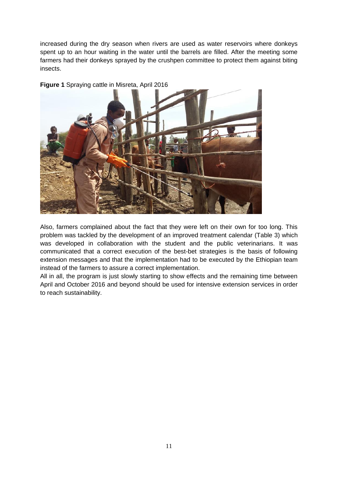increased during the dry season when rivers are used as water reservoirs where donkeys spent up to an hour waiting in the water until the barrels are filled. After the meeting some farmers had their donkeys sprayed by the crushpen committee to protect them against biting insects.

![](_page_10_Picture_1.jpeg)

**Figure 1** Spraying cattle in Misreta, April 2016

Also, farmers complained about the fact that they were left on their own for too long. This problem was tackled by the development of an improved treatment calendar (Table 3) which was developed in collaboration with the student and the public veterinarians. It was communicated that a correct execution of the best-bet strategies is the basis of following extension messages and that the implementation had to be executed by the Ethiopian team instead of the farmers to assure a correct implementation.

All in all, the program is just slowly starting to show effects and the remaining time between April and October 2016 and beyond should be used for intensive extension services in order to reach sustainability.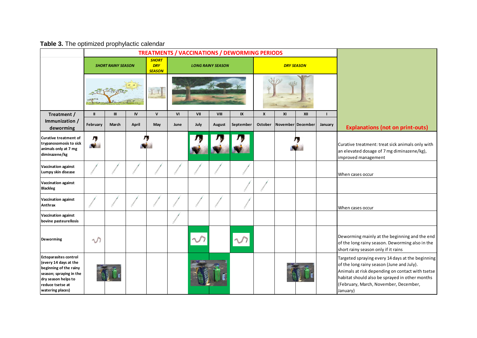**Table 3.** The optimized prophylactic calendar

|                                                                                                                                                                           | <b>TREATMENTS / VACCINATIONS / DEWORMING PERIODS</b> |                           |           |                                             |      |      |                          |           |                  |    |                   |         |                                                                                                                                                                                                                                                          |
|---------------------------------------------------------------------------------------------------------------------------------------------------------------------------|------------------------------------------------------|---------------------------|-----------|---------------------------------------------|------|------|--------------------------|-----------|------------------|----|-------------------|---------|----------------------------------------------------------------------------------------------------------------------------------------------------------------------------------------------------------------------------------------------------------|
|                                                                                                                                                                           |                                                      | <b>SHORT RAINY SEASON</b> |           | <b>SHORT</b><br><b>DRY</b><br><b>SEASON</b> |      |      | <b>LONG RAINY SEASON</b> |           |                  |    | <b>DRY SEASON</b> |         |                                                                                                                                                                                                                                                          |
|                                                                                                                                                                           |                                                      |                           |           | $\tilde{\mathbb{T}}$                        |      |      |                          |           |                  |    |                   |         |                                                                                                                                                                                                                                                          |
| Treatment /                                                                                                                                                               | $\mathbf{I}$                                         | III                       | <b>IV</b> | $\mathsf{v}$                                | VI   | VII  | VIII                     | IX        | $\boldsymbol{x}$ | XI | XII               |         |                                                                                                                                                                                                                                                          |
| Immunization /<br>deworming                                                                                                                                               | February                                             | March                     | April     | May                                         | June | July | August                   | September | October          |    | November December | January | <b>Explanations (not on print-outs)</b>                                                                                                                                                                                                                  |
| <b>Curative treatment of</b><br>trypanosomosis to sick<br>animals only at 7 mg<br>diminazene/kg                                                                           | η,<br>N.                                             |                           |           |                                             |      |      |                          |           |                  |    |                   |         | Curative treatment: treat sick animals only with<br>an elevated dosage of 7 mg diminazene/kg),<br>improved management                                                                                                                                    |
| Vaccination against<br>Lumpy skin disease                                                                                                                                 |                                                      |                           |           |                                             |      |      |                          |           |                  |    |                   |         | When cases occur                                                                                                                                                                                                                                         |
| <b>Vaccination against</b><br><b>Blackleg</b>                                                                                                                             |                                                      |                           |           |                                             |      |      |                          |           |                  |    |                   |         |                                                                                                                                                                                                                                                          |
| <b>Vaccination against</b><br>Anthrax                                                                                                                                     |                                                      |                           |           |                                             |      |      |                          |           |                  |    |                   |         | When cases occur                                                                                                                                                                                                                                         |
| <b>Vaccination against</b><br>bovine pasteurellosis                                                                                                                       |                                                      |                           |           |                                             |      |      |                          |           |                  |    |                   |         |                                                                                                                                                                                                                                                          |
| Deworming                                                                                                                                                                 | $\mathcal{D}$                                        |                           |           |                                             |      |      |                          |           |                  |    |                   |         | Deworming mainly at the beginning and the end<br>of the long rainy season. Deworming also in the<br>short rainy season only if it rains                                                                                                                  |
| <b>Ectoparasites control</b><br>(every 14 days at the<br>beginning of the rainy<br>season; spraying in the<br>dry season helps to<br>reduce tsetse at<br>watering places) |                                                      |                           |           |                                             |      |      |                          |           |                  |    |                   |         | Targeted spraying every 14 days at the beginning<br>of the long rainy season (June and July).<br>Animals at risk depending on contact with tsetse<br>habitat should also be sprayed in other months<br>(February, March, November, December,<br>January) |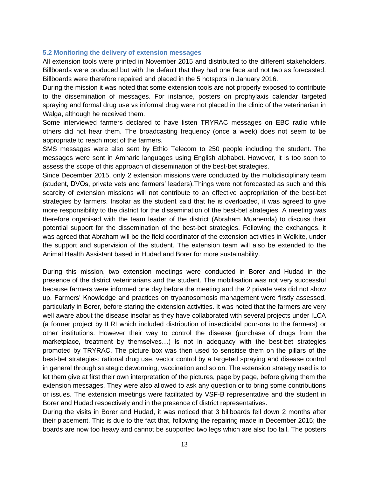#### **5.2 Monitoring the delivery of extension messages**

All extension tools were printed in November 2015 and distributed to the different stakeholders. Billboards were produced but with the default that they had one face and not two as forecasted. Billboards were therefore repaired and placed in the 5 hotspots in January 2016.

<span id="page-12-0"></span>During the mission it was noted that some extension tools are not properly exposed to contribute to the dissemination of messages. For instance, posters on prophylaxis calendar targeted spraying and formal drug use vs informal drug were not placed in the clinic of the veterinarian in Walga, although he received them.

Some interviewed farmers declared to have listen TRYRAC messages on EBC radio while others did not hear them. The broadcasting frequency (once a week) does not seem to be appropriate to reach most of the farmers.

SMS messages were also sent by Ethio Telecom to 250 people including the student. The messages were sent in Amharic languages using English alphabet. However, it is too soon to assess the scope of this approach of dissemination of the best-bet strategies.

Since December 2015, only 2 extension missions were conducted by the multidisciplinary team (student, DVOs, private vets and farmers' leaders).Things were not forecasted as such and this scarcity of extension missions will not contribute to an effective appropriation of the best-bet strategies by farmers. Insofar as the student said that he is overloaded, it was agreed to give more responsibility to the district for the dissemination of the best-bet strategies. A meeting was therefore organised with the team leader of the district (Abraham Muanenda) to discuss their potential support for the dissemination of the best-bet strategies. Following the exchanges, it was agreed that Abraham will be the field coordinator of the extension activities in Wolkite, under the support and supervision of the student. The extension team will also be extended to the Animal Health Assistant based in Hudad and Borer for more sustainability.

During this mission, two extension meetings were conducted in Borer and Hudad in the presence of the district veterinarians and the student. The mobilisation was not very successful because farmers were informed one day before the meeting and the 2 private vets did not show up. Farmers' Knowledge and practices on trypanosomosis management were firstly assessed, particularly in Borer, before staring the extension activities. It was noted that the farmers are very well aware about the disease insofar as they have collaborated with several projects under ILCA (a former project by ILRI which included distribution of insecticidal pour-ons to the farmers) or other institutions. However their way to control the disease (purchase of drugs from the marketplace, treatment by themselves…) is not in adequacy with the best-bet strategies promoted by TRYRAC. The picture box was then used to sensitise them on the pillars of the best-bet strategies: rational drug use, vector control by a targeted spraying and disease control in general through strategic deworming, vaccination and so on. The extension strategy used is to let them give at first their own interpretation of the pictures, page by page, before giving them the extension messages. They were also allowed to ask any question or to bring some contributions or issues. The extension meetings were facilitated by VSF-B representative and the student in Borer and Hudad respectively and in the presence of district representatives.

During the visits in Borer and Hudad, it was noticed that 3 billboards fell down 2 months after their placement. This is due to the fact that, following the repairing made in December 2015; the boards are now too heavy and cannot be supported two legs which are also too tall. The posters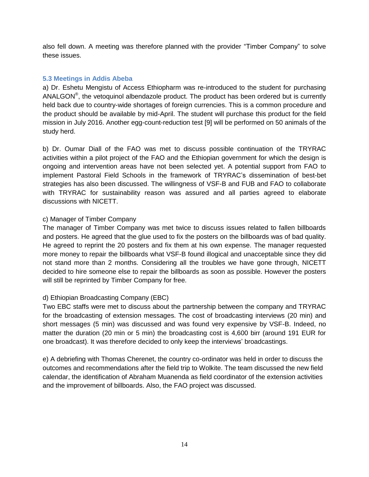also fell down. A meeting was therefore planned with the provider "Timber Company" to solve these issues.

### **5.3 Meetings in Addis Abeba**

<span id="page-13-0"></span>a) Dr. Eshetu Mengistu of Access Ethiopharm was re-introduced to the student for purchasing ANALGON<sup>®</sup>, the vetoquinol albendazole product. The product has been ordered but is currently held back due to country-wide shortages of foreign currencies. This is a common procedure and the product should be available by mid-April. The student will purchase this product for the field mission in July 2016. Another egg-count-reduction test [9] will be performed on 50 animals of the study herd.

b) Dr. Oumar Diall of the FAO was met to discuss possible continuation of the TRYRAC activities within a pilot project of the FAO and the Ethiopian government for which the design is ongoing and intervention areas have not been selected yet. A potential support from FAO to implement Pastoral Field Schools in the framework of TRYRAC's dissemination of best-bet strategies has also been discussed. The willingness of VSF-B and FUB and FAO to collaborate with TRYRAC for sustainability reason was assured and all parties agreed to elaborate discussions with NICETT.

### c) Manager of Timber Company

The manager of Timber Company was met twice to discuss issues related to fallen billboards and posters. He agreed that the glue used to fix the posters on the billboards was of bad quality. He agreed to reprint the 20 posters and fix them at his own expense. The manager requested more money to repair the billboards what VSF-B found illogical and unacceptable since they did not stand more than 2 months. Considering all the troubles we have gone through, NICETT decided to hire someone else to repair the billboards as soon as possible. However the posters will still be reprinted by Timber Company for free.

### d) Ethiopian Broadcasting Company (EBC)

Two EBC staffs were met to discuss about the partnership between the company and TRYRAC for the broadcasting of extension messages. The cost of broadcasting interviews (20 min) and short messages (5 min) was discussed and was found very expensive by VSF-B. Indeed, no matter the duration (20 min or 5 min) the broadcasting cost is 4,600 birr (around 191 EUR for one broadcast). It was therefore decided to only keep the interviews' broadcastings.

e) A debriefing with Thomas Cherenet, the country co-ordinator was held in order to discuss the outcomes and recommendations after the field trip to Wolkite. The team discussed the new field calendar, the identification of Abraham Muanenda as field coordinator of the extension activities and the improvement of billboards. Also, the FAO project was discussed.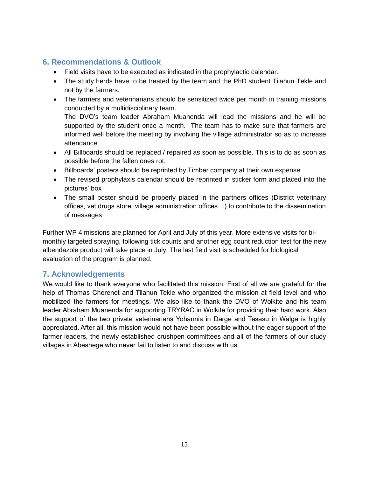## **6. Recommendations & Outlook**

- Field visits have to be executed as indicated in the prophylactic calendar.
- <span id="page-14-0"></span> The study herds have to be treated by the team and the PhD student Tilahun Tekle and not by the farmers.
- The farmers and veterinarians should be sensitized twice per month in training missions conducted by a multidisciplinary team.

The DVO's team leader Abraham Muanenda will lead the missions and he will be supported by the student once a month. The team has to make sure that farmers are informed well before the meeting by involving the village administrator so as to increase attendance.

- All Billboards should be replaced / repaired as soon as possible. This is to do as soon as possible before the fallen ones rot.
- Billboards' posters should be reprinted by Timber company at their own expense
- The revised prophylaxis calendar should be reprinted in sticker form and placed into the pictures' box
- The small poster should be properly placed in the partners offices (District veterinary offices, vet drugs store, village administration offices…) to contribute to the dissemination of messages

Further WP 4 missions are planned for April and July of this year. More extensive visits for bimonthly targeted spraying, following tick counts and another egg count reduction test for the new albendazole product will take place in July. The last field visit is scheduled for biological evaluation of the program is planned.

## **7. Acknowledgements**

<span id="page-14-1"></span>We would like to thank everyone who facilitated this mission. First of all we are grateful for the help of Thomas Cherenet and Tilahun Tekle who organized the mission at field level and who mobilized the farmers for meetings. We also like to thank the DVO of Wolkite and his team leader Abraham Muanenda for supporting TRYRAC in Wolkite for providing their hard work. Also the support of the two private veterinarians Yohannis in Darge and Tesasu in Walga is highly appreciated. After all, this mission would not have been possible without the eager support of the farmer leaders, the newly established crushpen committees and all of the farmers of our study villages in Abeshege who never fail to listen to and discuss with us.